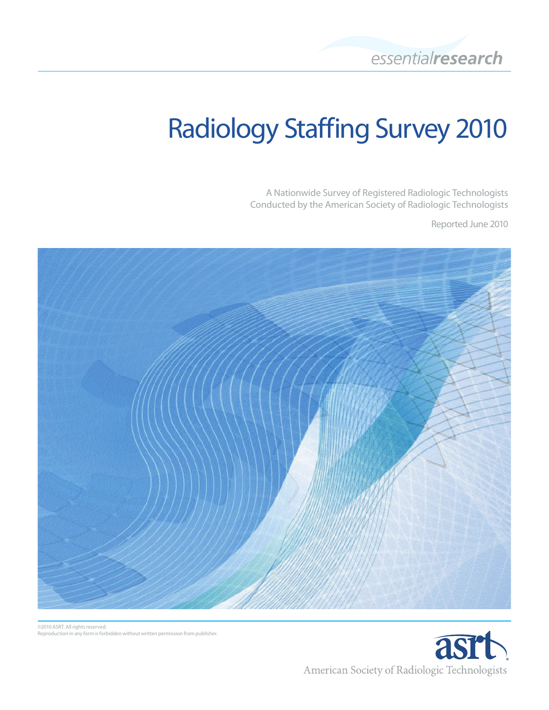# Radiology Staffing Survey 2010

A Nationwide Survey of Registered Radiologic Technologists Conducted by the American Society of Radiologic Technologists

Reported June 2010





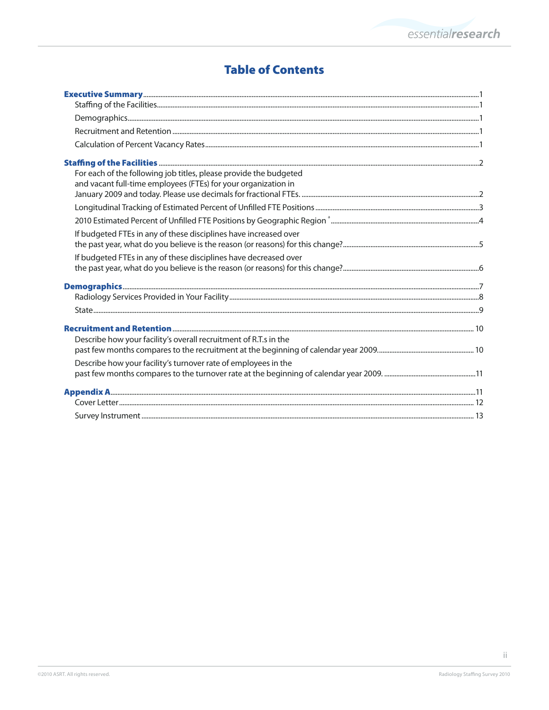# **Table of Contents**

| For each of the following job titles, please provide the budgeted |  |
|-------------------------------------------------------------------|--|
| and vacant full-time employees (FTEs) for your organization in    |  |
|                                                                   |  |
|                                                                   |  |
|                                                                   |  |
| If budgeted FTEs in any of these disciplines have increased over  |  |
|                                                                   |  |
| If budgeted FTEs in any of these disciplines have decreased over  |  |
|                                                                   |  |
|                                                                   |  |
|                                                                   |  |
|                                                                   |  |
|                                                                   |  |
| Describe how your facility's overall recruitment of R.T.s in the  |  |
|                                                                   |  |
| Describe how your facility's turnover rate of employees in the    |  |
|                                                                   |  |
|                                                                   |  |
|                                                                   |  |
|                                                                   |  |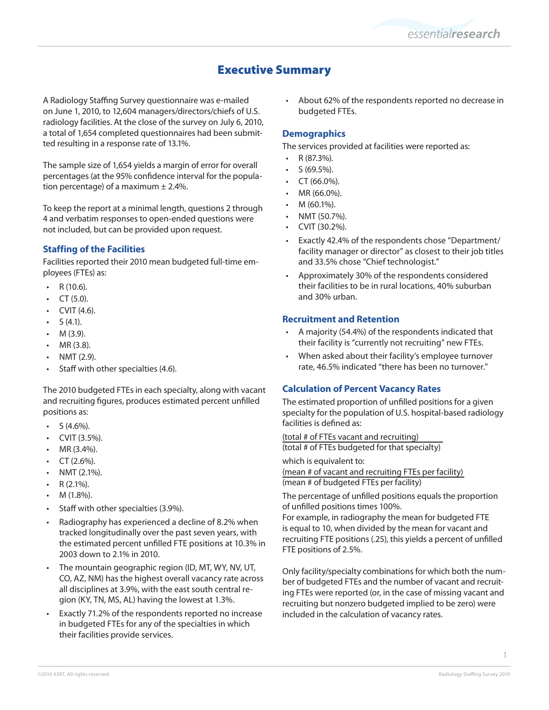# Executive Summary

A Radiology Staffing Survey questionnaire was e-mailed on June 1, 2010, to 12,604 managers/directors/chiefs of U.S. radiology facilities. At the close of the survey on July 6, 2010, a total of 1,654 completed questionnaires had been submitted resulting in a response rate of 13.1%.

The sample size of 1,654 yields a margin of error for overall percentages (at the 95% confidence interval for the population percentage) of a maximum  $\pm$  2.4%.

To keep the report at a minimal length, questions 2 through 4 and verbatim responses to open-ended questions were not included, but can be provided upon request.

# **Staffing of the Facilities**

Facilities reported their 2010 mean budgeted full-time employees (FTEs) as:

- R (10.6).
- CT  $(5.0)$ .
- $CVIT(4.6)$ .
- $S(4.1)$ .
- $M(3.9)$ .
- MR (3.8).
- $NMT(2.9)$ .
- Staff with other specialties (4.6).

The 2010 budgeted FTEs in each specialty, along with vacant and recruiting figures, produces estimated percent unfilled positions as:

- $S(4.6\%)$ .
- CVIT (3.5%).
- MR (3.4%).
- $CT (2.6\%).$
- NMT (2.1%).
- $R$  (2.1%).
- M (1.8%).
- Staff with other specialties (3.9%).
- Radiography has experienced a decline of 8.2% when tracked longitudinally over the past seven years, with the estimated percent unfilled FTE positions at 10.3% in 2003 down to 2.1% in 2010.
- The mountain geographic region (ID, MT, WY, NV, UT, CO, AZ, NM) has the highest overall vacancy rate across all disciplines at 3.9%, with the east south central region (KY, TN, MS, AL) having the lowest at 1.3%.
- Exactly 71.2% of the respondents reported no increase in budgeted FTEs for any of the specialties in which their facilities provide services.

• About 62% of the respondents reported no decrease in budgeted FTEs.

## **Demographics**

The services provided at facilities were reported as:

- R (87.3%).
- $S(69.5\%)$ .
- CT (66.0%).
- MR (66.0%).
- M (60.1%).
- NMT (50.7%).
- CVIT (30.2%).
- Exactly 42.4% of the respondents chose "Department/ facility manager or director" as closest to their job titles and 33.5% chose "Chief technologist."
- Approximately 30% of the respondents considered their facilities to be in rural locations, 40% suburban and 30% urban.

#### **Recruitment and Retention**

- A majority (54.4%) of the respondents indicated that their facility is "currently not recruiting" new FTEs.
- • When asked about their facility's employee turnover rate, 46.5% indicated "there has been no turnover."

#### **Calculation of Percent Vacancy Rates**

The estimated proportion of unfilled positions for a given specialty for the population of U.S. hospital-based radiology facilities is defined as:

(total # of FTEs vacant and recruiting) (total # of FTEs budgeted for that specialty)

which is equivalent to:

```
(mean # of vacant and recruiting FTEs per facility)
(mean # of budgeted FTEs per facility)
```
The percentage of unfilled positions equals the proportion of unfilled positions times 100%.

For example, in radiography the mean for budgeted FTE is equal to 10, when divided by the mean for vacant and recruiting FTE positions (.25), this yields a percent of unfilled FTE positions of 2.5%.

Only facility/specialty combinations for which both the number of budgeted FTEs and the number of vacant and recruiting FTEs were reported (or, in the case of missing vacant and recruiting but nonzero budgeted implied to be zero) were included in the calculation of vacancy rates.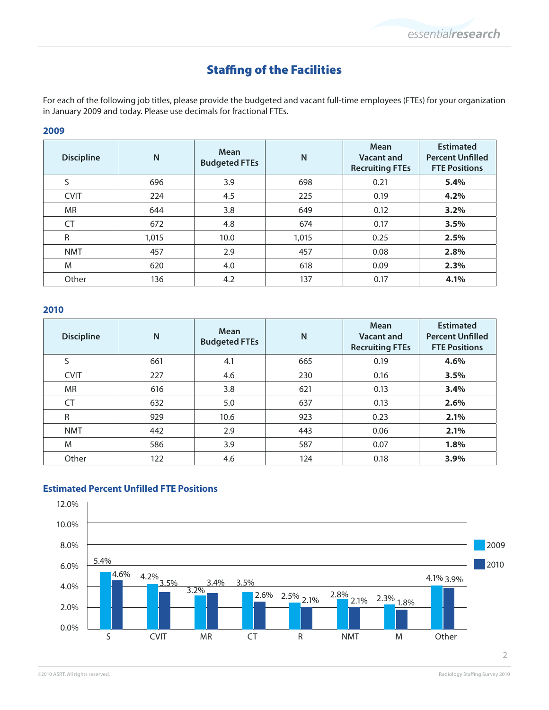# Staffing of the Facilities

For each of the following job titles, please provide the budgeted and vacant full-time employees (FTEs) for your organization in January 2009 and today. Please use decimals for fractional FTEs.

# **2009**

| <b>Discipline</b> | N     | Mean<br><b>Budgeted FTEs</b> | N     | Mean<br>Vacant and<br><b>Recruiting FTEs</b> | <b>Estimated</b><br><b>Percent Unfilled</b><br><b>FTE Positions</b> |
|-------------------|-------|------------------------------|-------|----------------------------------------------|---------------------------------------------------------------------|
| S                 | 696   | 3.9                          | 698   | 0.21                                         | 5.4%                                                                |
| <b>CVIT</b>       | 224   | 4.5                          | 225   | 0.19                                         | 4.2%                                                                |
| MR                | 644   | 3.8                          | 649   | 0.12                                         | 3.2%                                                                |
| <b>CT</b>         | 672   | 4.8                          | 674   | 0.17                                         | 3.5%                                                                |
| R                 | 1,015 | 10.0                         | 1,015 | 0.25                                         | 2.5%                                                                |
| <b>NMT</b>        | 457   | 2.9                          | 457   | 0.08                                         | 2.8%                                                                |
| M                 | 620   | 4.0                          | 618   | 0.09                                         | 2.3%                                                                |
| Other             | 136   | 4.2                          | 137   | 0.17                                         | 4.1%                                                                |

#### **2010**

| <b>Discipline</b> | N   | Mean<br><b>Budgeted FTEs</b> | N   | Mean<br>Vacant and<br><b>Recruiting FTEs</b> | <b>Estimated</b><br><b>Percent Unfilled</b><br><b>FTE Positions</b> |
|-------------------|-----|------------------------------|-----|----------------------------------------------|---------------------------------------------------------------------|
| S                 | 661 | 4.1                          | 665 | 0.19                                         | 4.6%                                                                |
| <b>CVIT</b>       | 227 | 4.6                          | 230 | 0.16                                         | 3.5%                                                                |
| <b>MR</b>         | 616 | 3.8                          | 621 | 0.13                                         | 3.4%                                                                |
| CT                | 632 | 5.0                          | 637 | 0.13                                         | 2.6%                                                                |
| R                 | 929 | 10.6                         | 923 | 0.23                                         | 2.1%                                                                |
| <b>NMT</b>        | 442 | 2.9                          | 443 | 0.06                                         | 2.1%                                                                |
| M                 | 586 | 3.9                          | 587 | 0.07                                         | 1.8%                                                                |
| Other             | 122 | 4.6                          | 124 | 0.18                                         | 3.9%                                                                |

## **Estimated Percent Unfilled FTE Positions**

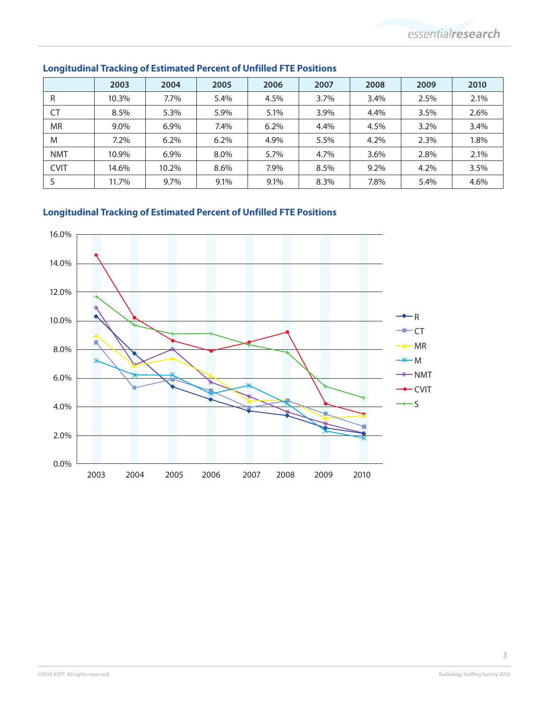|             | 2003  | 2004    | 2005 | 2006 | 2007 | 2008 | 2009 | 2010 |
|-------------|-------|---------|------|------|------|------|------|------|
| R           | 10.3% | 7.7%    | 5.4% | 4.5% | 3.7% | 3.4% | 2.5% | 2.1% |
| CT          | 8.5%  | 5.3%    | 5.9% | 5.1% | 3.9% | 4.4% | 3.5% | 2.6% |
| <b>MR</b>   | 9.0%  | $6.9\%$ | 7.4% | 6.2% | 4.4% | 4.5% | 3.2% | 3.4% |
| M           | 7.2%  | 6.2%    | 6.2% | 4.9% | 5.5% | 4.2% | 2.3% | 1.8% |
| <b>NMT</b>  | 10.9% | $6.9\%$ | 8.0% | 5.7% | 4.7% | 3.6% | 2.8% | 2.1% |
| <b>CVIT</b> | 14.6% | 10.2%   | 8.6% | 7.9% | 8.5% | 9.2% | 4.2% | 3.5% |
|             | 11.7% | 9.7%    | 9.1% | 9.1% | 8.3% | 7.8% | 5.4% | 4.6% |

# **Longitudinal Tracking of Estimated Percent of Unfilled FTE Positions**

# **Longitudinal Tracking of Estimated Percent of Unfilled FTE Positions**

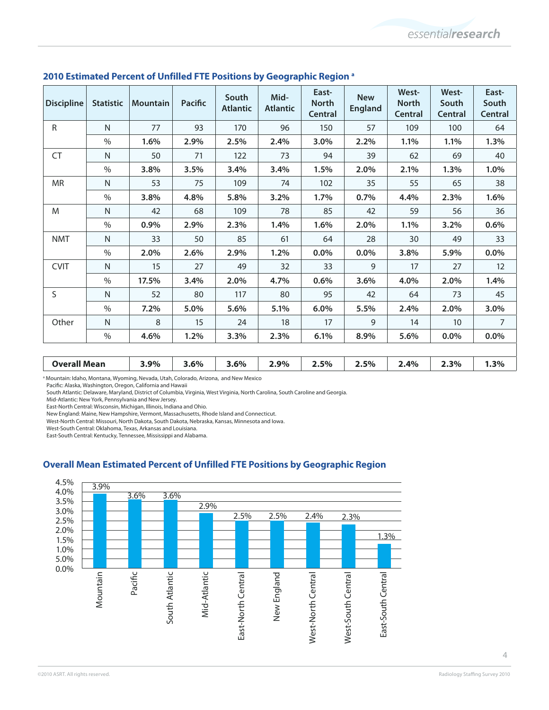| <b>Discipline</b>   | <b>Statistic</b> | <b>Mountain</b> | <b>Pacific</b> | South<br><b>Atlantic</b> | Mid-<br><b>Atlantic</b> | East-<br><b>North</b><br><b>Central</b> | <b>New</b><br><b>England</b> | West-<br><b>North</b><br>Central | West-<br>South<br>Central | East-<br>South<br>Central |
|---------------------|------------------|-----------------|----------------|--------------------------|-------------------------|-----------------------------------------|------------------------------|----------------------------------|---------------------------|---------------------------|
| R                   | N                | 77              | 93             | 170                      | 96                      | 150                                     | 57                           | 109                              | 100                       | 64                        |
|                     | $\frac{0}{0}$    | 1.6%            | 2.9%           | 2.5%                     | 2.4%                    | 3.0%                                    | 2.2%                         | 1.1%                             | 1.1%                      | 1.3%                      |
| CT                  | N                | 50              | 71             | 122                      | 73                      | 94                                      | 39                           | 62                               | 69                        | 40                        |
|                     | $\%$             | 3.8%            | 3.5%           | 3.4%                     | 3.4%                    | 1.5%                                    | 2.0%                         | 2.1%                             | 1.3%                      | 1.0%                      |
| <b>MR</b>           | $\mathsf{N}$     | 53              | 75             | 109                      | 74                      | 102                                     | 35                           | 55                               | 65                        | 38                        |
|                     | $\frac{0}{0}$    | 3.8%            | 4.8%           | 5.8%                     | 3.2%                    | 1.7%                                    | 0.7%                         | 4.4%                             | 2.3%                      | 1.6%                      |
| M                   | N                | 42              | 68             | 109                      | 78                      | 85                                      | 42                           | 59                               | 56                        | 36                        |
|                     | $\%$             | 0.9%            | 2.9%           | 2.3%                     | 1.4%                    | 1.6%                                    | 2.0%                         | 1.1%                             | 3.2%                      | 0.6%                      |
| <b>NMT</b>          | N                | 33              | 50             | 85                       | 61                      | 64                                      | 28                           | 30                               | 49                        | 33                        |
|                     | $\%$             | 2.0%            | 2.6%           | 2.9%                     | 1.2%                    | $0.0\%$                                 | 0.0%                         | 3.8%                             | 5.9%                      | 0.0%                      |
| <b>CVIT</b>         | $\mathsf{N}$     | 15              | 27             | 49                       | 32                      | 33                                      | 9                            | 17                               | 27                        | 12                        |
|                     | $\%$             | 17.5%           | 3.4%           | 2.0%                     | 4.7%                    | 0.6%                                    | 3.6%                         | 4.0%                             | 2.0%                      | 1.4%                      |
| S                   | N                | 52              | 80             | 117                      | 80                      | 95                                      | 42                           | 64                               | 73                        | 45                        |
|                     | $\%$             | 7.2%            | 5.0%           | 5.6%                     | 5.1%                    | 6.0%                                    | 5.5%                         | 2.4%                             | 2.0%                      | 3.0%                      |
| Other               | N                | 8               | 15             | 24                       | 18                      | 17                                      | 9                            | 14                               | 10                        | 7                         |
|                     | $\%$             | 4.6%            | 1.2%           | 3.3%                     | 2.3%                    | 6.1%                                    | 8.9%                         | 5.6%                             | 0.0%                      | $0.0\%$                   |
| <b>Overall Mean</b> |                  | 3.9%            | 3.6%           | 3.6%                     | 2.9%                    | 2.5%                                    | 2.5%                         | 2.4%                             | 2.3%                      | 1.3%                      |

#### **2010 Estimated Percent of Unfilled FTE Positions by Geographic Region a**

<sup>a</sup> Mountain: Idaho, Montana, Wyoming, Nevada, Utah, Colorado, Arizona, and New Mexico

Pacific: Alaska, Washington, Oregon, California and Hawaii

South Atlantic: Delaware, Maryland, District of Columbia, Virginia, West Virginia, North Carolina, South Caroline and Georgia.

Mid-Atlantic: New York, Pennsylvania and New Jersey.

East-North Central: Wisconsin, Michigan, Illinois, Indiana and Ohio.

New England: Maine, New Hampshire, Vermont, Massachusetts, Rhode Island and Connecticut.

West-North Central: Missouri, North Dakota, South Dakota, Nebraska, Kansas, Minnesota and Iowa.

West-South Central: Oklahoma, Texas, Arkansas and Louisiana.

East-South Central: Kentucky, Tennessee, Mississippi and Alabama.

# **Overall Mean Estimated Percent of Unfilled FTE Positions by Geographic Region**

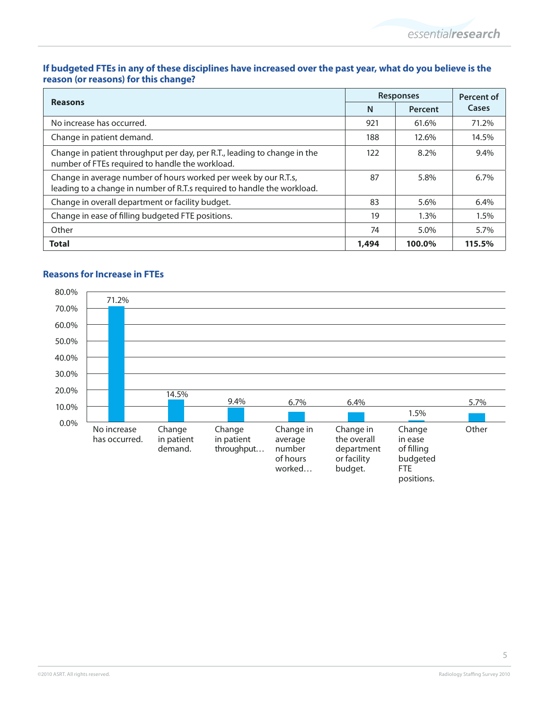## **If budgeted FTEs in any of these disciplines have increased over the past year, what do you believe is the reason (or reasons) for this change?**

| <b>Reasons</b>                                                                                                                             |       | <b>Responses</b> |         |  |
|--------------------------------------------------------------------------------------------------------------------------------------------|-------|------------------|---------|--|
|                                                                                                                                            | N     | Percent          | Cases   |  |
| No increase has occurred.                                                                                                                  | 921   | 61.6%            | 71.2%   |  |
| Change in patient demand.                                                                                                                  | 188   | 12.6%            | 14.5%   |  |
| Change in patient throughput per day, per R.T., leading to change in the<br>number of FTEs required to handle the workload.                | 122   | 8.2%             | 9.4%    |  |
| Change in average number of hours worked per week by our R.T.s,<br>leading to a change in number of R.T.s required to handle the workload. | 87    | 5.8%             | $6.7\%$ |  |
| Change in overall department or facility budget.                                                                                           | 83    | 5.6%             | $6.4\%$ |  |
| Change in ease of filling budgeted FTE positions.                                                                                          | 19    | $1.3\%$          | 1.5%    |  |
| Other                                                                                                                                      | 74    | 5.0%             | 5.7%    |  |
| <b>Total</b>                                                                                                                               | 1,494 | 100.0%           | 115.5%  |  |



# **Reasons for Increase in FTEs**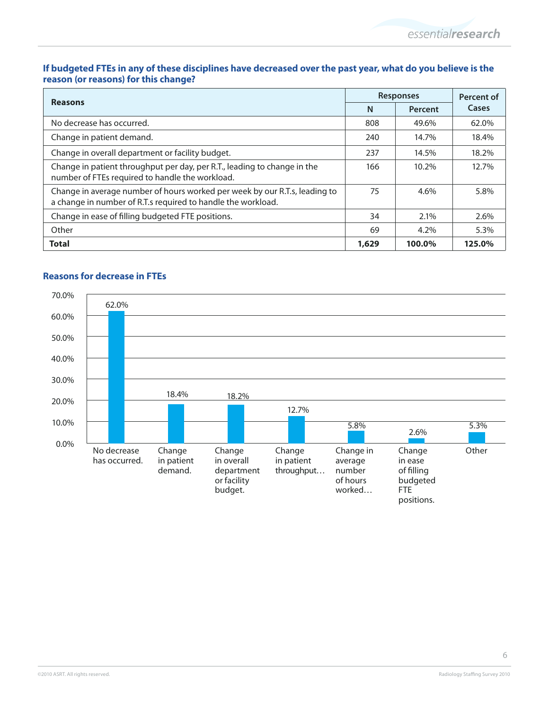# **If budgeted FTEs in any of these disciplines have decreased over the past year, what do you believe is the reason (or reasons) for this change?**

|                                                                                                                                            |       | <b>Responses</b> |        |  |
|--------------------------------------------------------------------------------------------------------------------------------------------|-------|------------------|--------|--|
| <b>Reasons</b>                                                                                                                             | N     | Percent          | Cases  |  |
| No decrease has occurred.                                                                                                                  | 808   | 49.6%            | 62.0%  |  |
| Change in patient demand.                                                                                                                  | 240   | 14.7%            | 18.4%  |  |
| Change in overall department or facility budget.                                                                                           | 237   | 14.5%            | 18.2%  |  |
| Change in patient throughput per day, per R.T., leading to change in the<br>number of FTEs required to handle the workload.                | 166   | 10.2%            | 12.7%  |  |
| Change in average number of hours worked per week by our R.T.s, leading to<br>a change in number of R.T.s required to handle the workload. | 75    | 4.6%             | 5.8%   |  |
| Change in ease of filling budgeted FTE positions.                                                                                          | 34    | 2.1%             | 2.6%   |  |
| Other                                                                                                                                      | 69    | 4.2%             | 5.3%   |  |
| <b>Total</b>                                                                                                                               | 1,629 | 100.0%           | 125.0% |  |



# **Reasons for decrease in FTEs**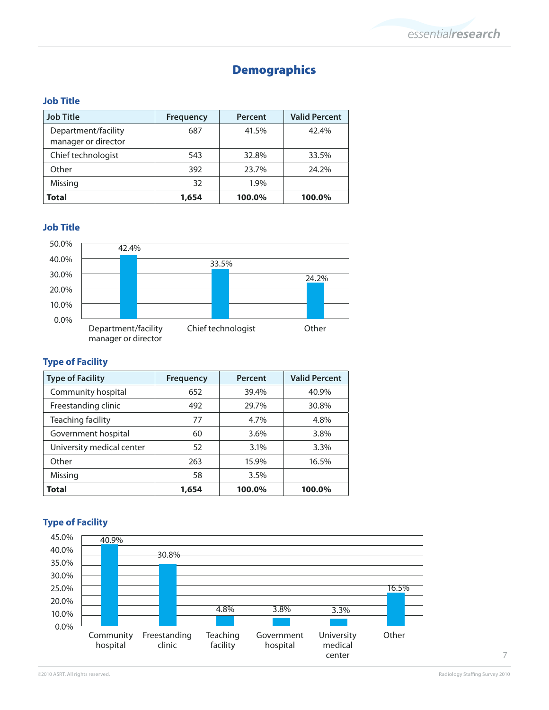# Demographics

# **Job Title**

| <b>Job Title</b>                           | <b>Frequency</b> | Percent | <b>Valid Percent</b> |
|--------------------------------------------|------------------|---------|----------------------|
| Department/facility<br>manager or director | 687              | 41.5%   | 42.4%                |
| Chief technologist                         | 543              | 32.8%   | 33.5%                |
| Other                                      | 392              | 23.7%   | 24.2%                |
| Missing                                    | 32               | 1.9%    |                      |
| Total                                      | 1,654            | 100.0%  | 100.0%               |

# **Job Title**



# **Type of Facility**

| <b>Type of Facility</b>   | <b>Frequency</b> | Percent | <b>Valid Percent</b> |
|---------------------------|------------------|---------|----------------------|
| Community hospital        | 652              | 39.4%   | 40.9%                |
| Freestanding clinic       | 492              | 29.7%   | 30.8%                |
| Teaching facility         | 77               | 4.7%    | 4.8%                 |
| Government hospital       | 60               | 3.6%    | 3.8%                 |
| University medical center | 52               | 3.1%    | 3.3%                 |
| Other                     | 263              | 15.9%   | 16.5%                |
| Missing                   | 58               | 3.5%    |                      |
| Total                     | 1,654            | 100.0%  | 100.0%               |

# **Type of Facility**

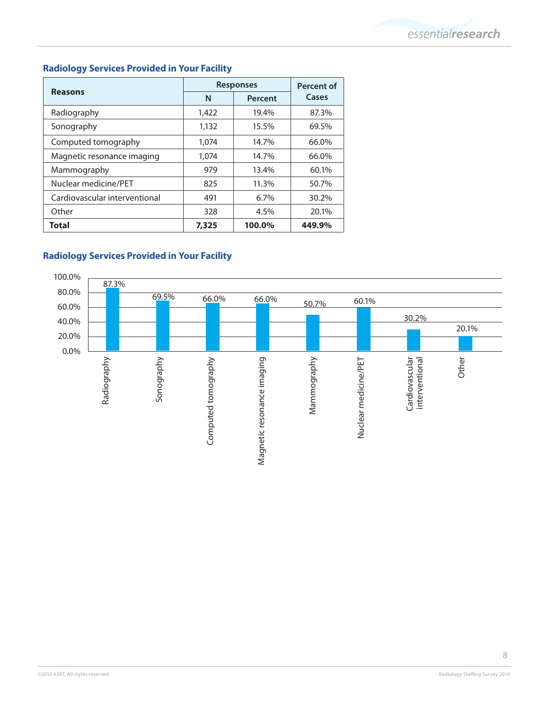# **Radiology Services Provided in Your Facility**

|                               | <b>Responses</b> | Percent of |        |
|-------------------------------|------------------|------------|--------|
| <b>Reasons</b>                | N                | Percent    | Cases  |
| Radiography                   | 1,422            | 19.4%      | 87.3%  |
| Sonography                    | 1,132            | 15.5%      | 69.5%  |
| Computed tomography           | 1.074            | 14.7%      | 66.0%  |
| Magnetic resonance imaging    | 1,074            | 14.7%      | 66.0%  |
| Mammography                   | 979              | 13.4%      | 60.1%  |
| Nuclear medicine/PET          | 825              | 11.3%      | 50.7%  |
| Cardiovascular interventional | 491              | 6.7%       | 30.2%  |
| Other                         | 328              | 4.5%       | 20.1%  |
| Total                         | 7,325            | 100.0%     | 449.9% |

# **Radiology Services Provided in Your Facility**

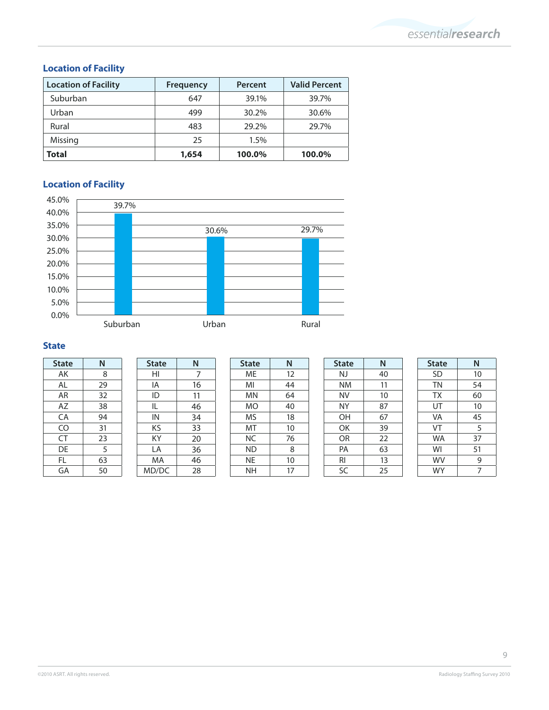# **Location of Facility**

| <b>Location of Facility</b> | <b>Frequency</b> | Percent | <b>Valid Percent</b> |
|-----------------------------|------------------|---------|----------------------|
| Suburban                    | 647              | 39.1%   | 39.7%                |
| Urban                       | 499              | 30.2%   | 30.6%                |
| Rural                       | 483              | 29.2%   | 29.7%                |
| Missing                     | 25               | 1.5%    |                      |
| <b>Total</b>                | 1,654            | 100.0%  | 100.0%               |

# **Location of Facility**



# **State**

| <b>State</b> | N  |
|--------------|----|
| AK           | 8  |
| AL           | 29 |
| AR           | 32 |
| AZ           | 38 |
| CA           | 94 |
| CO           | 31 |
| CT           | 23 |
| DE           | 5  |
| FL           | 63 |
| GA           | 50 |

| N  |
|----|
| 7  |
| 16 |
| 11 |
| 46 |
| 34 |
| 33 |
| 20 |
| 36 |
| 46 |
| 28 |
|    |

| <b>State</b> | Ν  |
|--------------|----|
| МE           | 12 |
| MI           | 44 |
| ΜN           | 64 |
| МO           | 40 |
| MS           | 18 |
| МT           | 10 |
| ΝC           | 76 |
| ΝD           | 8  |
| NE           | 10 |
| NΗ           | 17 |

| <b>State</b> | N  |
|--------------|----|
| NJ           | 40 |
| ΝM           | 11 |
| NV           | 10 |
| ΝY           | 87 |
| ΟH           | 67 |
| ОK           | 39 |
| OR           | 22 |
| PA           | 63 |
| RI           | 13 |
| SC           | 25 |

| <b>State</b> | N  |  |
|--------------|----|--|
| <b>SD</b>    | 10 |  |
| <b>TN</b>    | 54 |  |
| ТX           | 60 |  |
| UT           | 10 |  |
| VA           | 45 |  |
| VT           | 5  |  |
| <b>WA</b>    | 37 |  |
| WI           | 51 |  |
| WV           | 9  |  |
| WY           | 7  |  |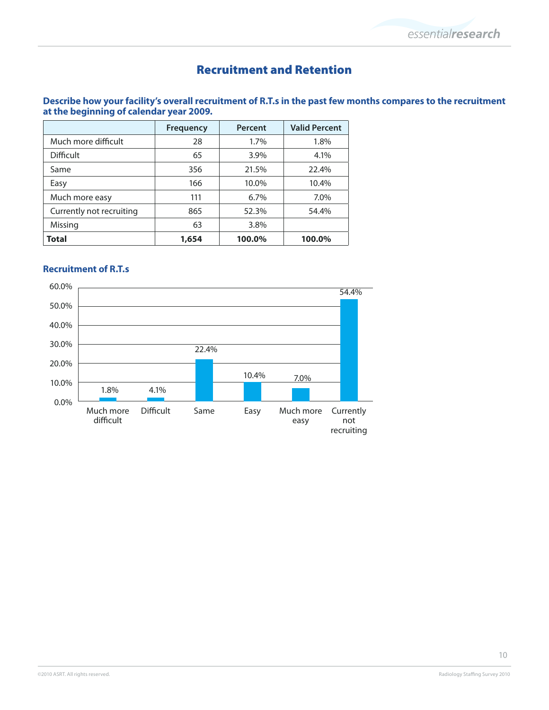# Recruitment and Retention

# **Describe how your facility's overall recruitment of R.T.s in the past few months compares to the recruitment at the beginning of calendar year 2009.**

|                          | <b>Frequency</b> | Percent | <b>Valid Percent</b> |
|--------------------------|------------------|---------|----------------------|
| Much more difficult      | 28               | 1.7%    | 1.8%                 |
| <b>Difficult</b>         | 65               | 3.9%    | 4.1%                 |
| Same                     | 356              | 21.5%   | 22.4%                |
| Easy                     | 166              | 10.0%   | 10.4%                |
| Much more easy           | 111              | 6.7%    | 7.0%                 |
| Currently not recruiting | 865              | 52.3%   | 54.4%                |
| Missing                  | 63               | 3.8%    |                      |
| <b>Total</b>             | 1,654            | 100.0%  | 100.0%               |

# **Recruitment of R.T.s**

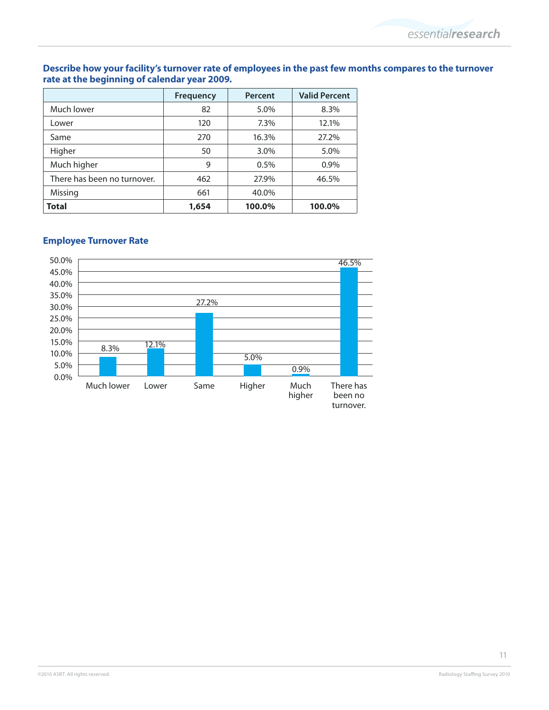# **Describe how your facility's turnover rate of employees in the past few months compares to the turnover rate at the beginning of calendar year 2009.**

|                             | <b>Frequency</b> | Percent | <b>Valid Percent</b> |
|-----------------------------|------------------|---------|----------------------|
| Much lower                  | 82               | 5.0%    | 8.3%                 |
| Lower                       | 120              | 7.3%    | 12.1%                |
| Same                        | 270              | 16.3%   | 27.2%                |
| Higher                      | 50               | 3.0%    | 5.0%                 |
| Much higher                 | 9                | 0.5%    | $0.9\%$              |
| There has been no turnover. | 462              | 27.9%   | 46.5%                |
| Missing                     | 661              | 40.0%   |                      |
| <b>Total</b>                | 1,654            | 100.0%  | 100.0%               |

# **Employee Turnover Rate**



11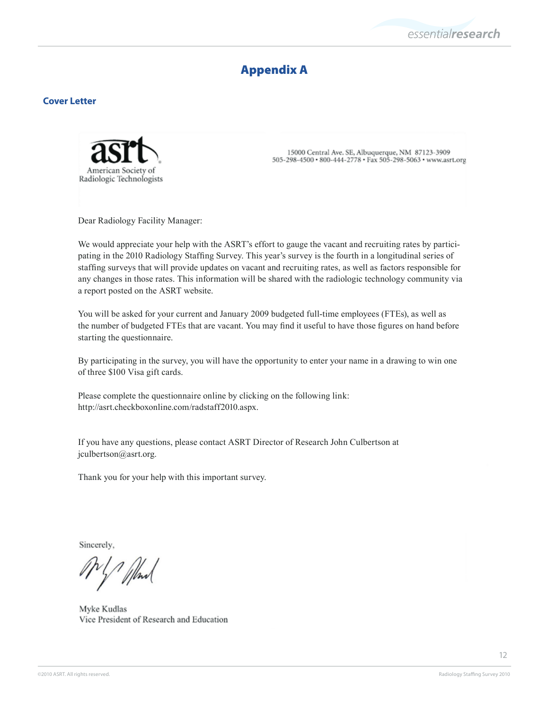

# Appendix A

#### **Cover Letter**



15000 Central Ave. SE, Albuquerque, NM 87123-3909 505-298-4500 · 800-444-2778 · Fax 505-298-5063 · www.asrt.org

Dear Radiology Facility Manager:

We would appreciate your help with the ASRT's effort to gauge the vacant and recruiting rates by participating in the 2010 Radiology Staffing Survey. This year's survey is the fourth in a longitudinal series of staffing surveys that will provide updates on vacant and recruiting rates, as well as factors responsible for any changes in those rates. This information will be shared with the radiologic technology community via a report posted on the ASRT website.

You will be asked for your current and January 2009 budgeted full-time employees (FTEs), as well as the number of budgeted FTEs that are vacant. You may find it useful to have those figures on hand before starting the questionnaire.

By participating in the survey, you will have the opportunity to enter your name in a drawing to win one of three \$100 Visa gift cards.

Please complete the questionnaire online by clicking on the following link: http://asrt.checkboxonline.com/radstaff2010.aspx.

If you have any questions, please contact ASRT Director of Research John Culbertson at jculbertson@asrt.org.

Thank you for your help with this important survey.

Sincerely,

1 /hml

Myke Kudlas Vice President of Research and Education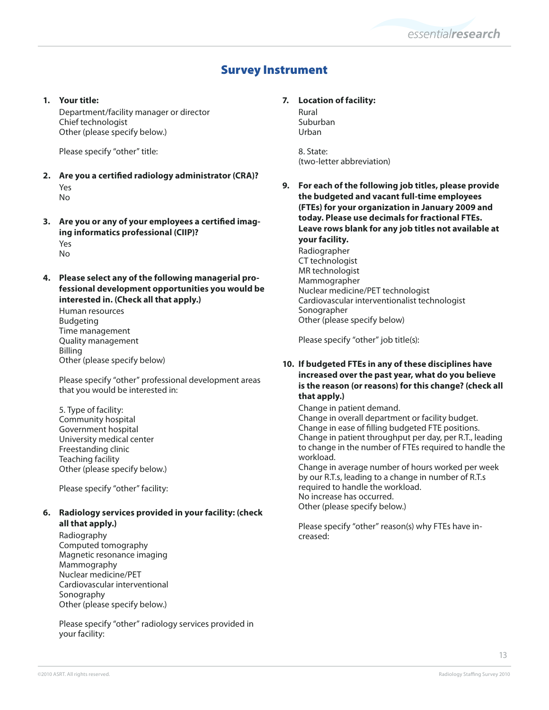# Survey Instrument

#### **1. Your title:**

Department/facility manager or director Chief technologist Other (please specify below.)

Please specify "other" title:

- **2. Are you a certified radiology administrator (CRA)?** Yes No
- **3. Are you or any of your employees a certified imaging informatics professional (CIIP)?** Yes No
- **4. Please select any of the following managerial professional development opportunities you would be interested in. (Check all that apply.)**

Human resources Budgeting Time management Quality management Billing Other (please specify below)

Please specify "other" professional development areas that you would be interested in:

5. Type of facility: Community hospital Government hospital University medical center Freestanding clinic Teaching facility Other (please specify below.)

Please specify "other" facility:

#### **6. Radiology services provided in your facility: (check all that apply.)**

Radiography Computed tomography Magnetic resonance imaging Mammography Nuclear medicine/PET Cardiovascular interventional Sonography Other (please specify below.)

Please specify "other" radiology services provided in your facility:

## **7. Location of facility:**

Rural Suburban Urban

8. State: (two-letter abbreviation)

**9. For each of the following job titles, please provide the budgeted and vacant full-time employees (FTEs) for your organization in January 2009 and today. Please use decimals for fractional FTEs. Leave rows blank for any job titles not available at your facility.**  Radiographer CT technologist MR technologist Mammographer Nuclear medicine/PET technologist Cardiovascular interventionalist technologist Sonographer Other (please specify below)

Please specify "other" job title(s):

#### **10. If budgeted FTEs in any of these disciplines have increased over the past year, what do you believe is the reason (or reasons) for this change? (check all that apply.)**

Change in patient demand. Change in overall department or facility budget. Change in ease of filling budgeted FTE positions. Change in patient throughput per day, per R.T., leading to change in the number of FTEs required to handle the workload. Change in average number of hours worked per week

by our R.T.s, leading to a change in number of R.T.s required to handle the workload. No increase has occurred. Other (please specify below.)

Please specify "other" reason(s) why FTEs have increased: